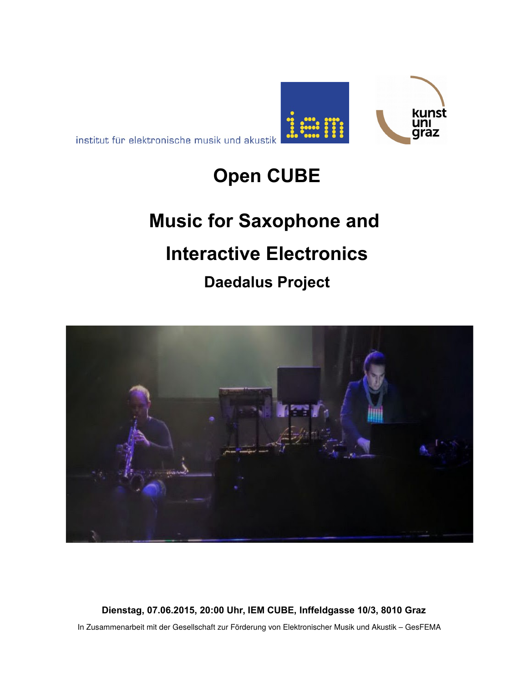



kunst וחנ qraz

## **Music for Saxophone and**

# **Interactive Electronics**

**Daedalus Project**



**Dienstag, 07.06.2015, 20:00 Uhr, IEM CUBE, Inffeldgasse 10/3, 8010 Graz** In Zusammenarbeit mit der Gesellschaft zur Förderung von Elektronischer Musik und Akustik – GesFEMA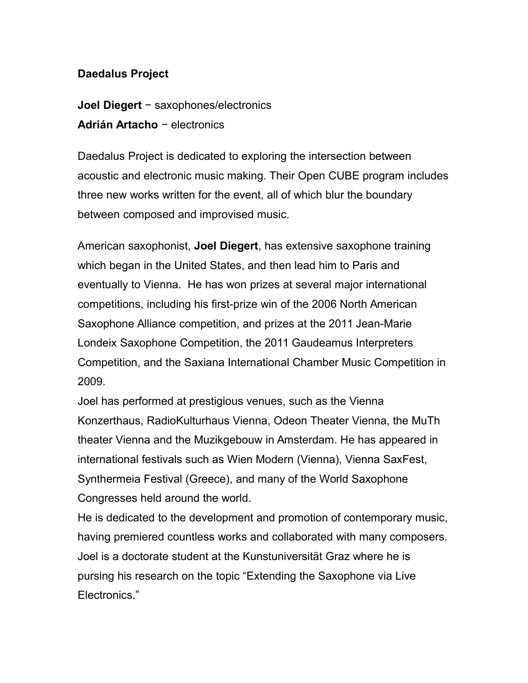### **Daedalus Project**

**Joel Diegert** − saxophones/electronics **Adrián Artacho** − electronics

Daedalus Project is dedicated to exploring the intersection between acoustic and electronic music making. Their Open CUBE program includes three new works written for the event, all of which blur the boundary between composed and improvised music.

American saxophonist, **Joel Diegert**, has extensive saxophone training which began in the United States, and then lead him to Paris and eventually to Vienna. He has won prizes at several major international competitions, including his first-prize win of the 2006 North American Saxophone Alliance competition, and prizes at the 2011 Jean-Marie Londeix Saxophone Competition, the 2011 Gaudeamus Interpreters Competition, and the Saxiana International Chamber Music Competition in 2009.

Joel has performed at prestigious venues, such as the Vienna Konzerthaus, RadioKulturhaus Vienna, Odeon Theater Vienna, the MuTh theater Vienna and the Muzikgebouw in Amsterdam. He has appeared in international festivals such as Wien Modern (Vienna), Vienna SaxFest, Synthermeia Festival (Greece), and many of the World Saxophone Congresses held around the world.

He is dedicated to the development and promotion of contemporary music, having premiered countless works and collaborated with many composers. Joel is a doctorate student at the Kunstuniversität Graz where he is pursing his research on the topic "Extending the Saxophone via Live Electronics."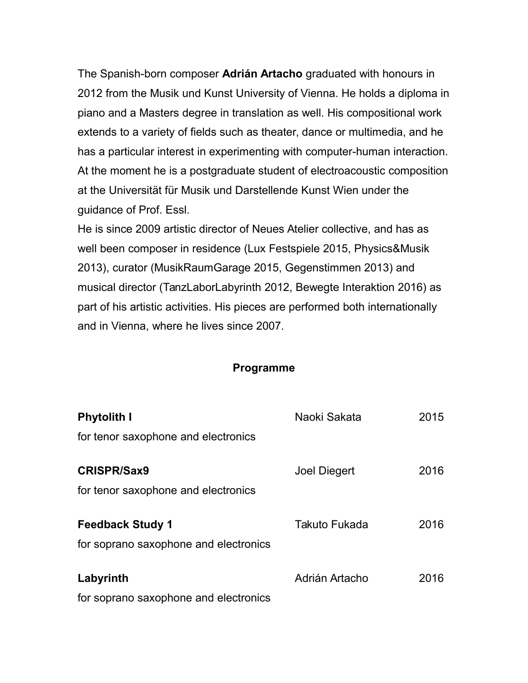The Spanish-born composer **Adrián Artacho** graduated with honours in 2012 from the Musik und Kunst University of Vienna. He holds a diploma in piano and a Masters degree in translation as well. His compositional work extends to a variety of fields such as theater, dance or multimedia, and he has a particular interest in experimenting with computer-human interaction. At the moment he is a postgraduate student of electroacoustic composition at the Universität für Musik und Darstellende Kunst Wien under the guidance of Prof. Essl.

He is since 2009 artistic director of Neues Atelier collective, and has as well been composer in residence (Lux Festspiele 2015, Physics&Musik 2013), curator (MusikRaumGarage 2015, Gegenstimmen 2013) and musical director (TanzLaborLabyrinth 2012, Bewegte Interaktion 2016) as part of his artistic activities. His pieces are performed both internationally and in Vienna, where he lives since 2007.

#### **Programme**

| <b>Phytolith I</b>                    | Naoki Sakata        | 2015 |
|---------------------------------------|---------------------|------|
| for tenor saxophone and electronics   |                     |      |
| <b>CRISPR/Sax9</b>                    | <b>Joel Diegert</b> | 2016 |
| for tenor saxophone and electronics   |                     |      |
| <b>Feedback Study 1</b>               | Takuto Fukada       | 2016 |
| for soprano saxophone and electronics |                     |      |
| Labyrinth                             | Adrián Artacho      | 2016 |
| for soprano saxophone and electronics |                     |      |